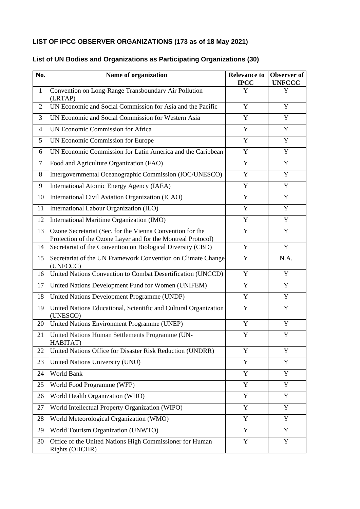# **LIST OF IPCC OBSERVER ORGANIZATIONS (173 as of 18 May 2021)**

| No.            | Name of organization                                                                                                      | <b>Relevance to</b><br><b>IPCC</b> | Observer of<br><b>UNFCCC</b> |
|----------------|---------------------------------------------------------------------------------------------------------------------------|------------------------------------|------------------------------|
| $\mathbf{1}$   | Convention on Long-Range Transboundary Air Pollution<br>(LRTAP)                                                           | Y                                  | Y                            |
| $\overline{2}$ | UN Economic and Social Commission for Asia and the Pacific                                                                | Y                                  | Y                            |
| 3              | UN Economic and Social Commission for Western Asia                                                                        | Y                                  | Y                            |
| $\overline{4}$ | <b>UN Economic Commission for Africa</b>                                                                                  | Y                                  | Y                            |
| 5              | UN Economic Commission for Europe                                                                                         | $\mathbf Y$                        | $\mathbf Y$                  |
| 6              | UN Economic Commission for Latin America and the Caribbean                                                                | Y                                  | Y                            |
| $\overline{7}$ | Food and Agriculture Organization (FAO)                                                                                   | Y                                  | Y                            |
| 8              | Intergovernmental Oceanographic Commission (IOC/UNESCO)                                                                   | Y                                  | Y                            |
| 9              | International Atomic Energy Agency (IAEA)                                                                                 | Y                                  | Y                            |
| 10             | International Civil Aviation Organization (ICAO)                                                                          | $\mathbf Y$                        | $\mathbf Y$                  |
| 11             | International Labour Organization (ILO)                                                                                   | Y                                  | Y                            |
| 12             | International Maritime Organization (IMO)                                                                                 | Y                                  | $\mathbf Y$                  |
| 13             | Ozone Secretariat (Sec. for the Vienna Convention for the<br>Protection of the Ozone Layer and for the Montreal Protocol) | Y                                  | Y                            |
| 14             | Secretariat of the Convention on Biological Diversity (CBD)                                                               | Y                                  | Y                            |
| 15             | Secretariat of the UN Framework Convention on Climate Change<br>(UNFCCC)                                                  | $\mathbf Y$                        | N.A.                         |
| 16             | United Nations Convention to Combat Desertification (UNCCD)                                                               | $\mathbf Y$                        | Y                            |
| 17             | United Nations Development Fund for Women (UNIFEM)                                                                        | Y                                  | Y                            |
| 18             | United Nations Development Programme (UNDP)                                                                               | Y                                  | $\mathbf Y$                  |
| 19             | United Nations Educational, Scientific and Cultural Organization<br>(UNESCO)                                              | Y                                  | Y                            |
| 20             | United Nations Environment Programme (UNEP)                                                                               | Y                                  | Y                            |
| 21             | United Nations Human Settlements Programme (UN-<br>HABITAT)                                                               | Y                                  | $\mathbf Y$                  |
| 22             | United Nations Office for Disaster Risk Reduction (UNDRR)                                                                 | Y                                  | Y                            |
| 23             | United Nations University (UNU)                                                                                           | Y                                  | Y                            |
| 24             | World Bank                                                                                                                | Y                                  | Y                            |
| 25             | World Food Programme (WFP)                                                                                                | Y                                  | Y                            |
| 26             | World Health Organization (WHO)                                                                                           | Y                                  | Y                            |
| 27             | World Intellectual Property Organization (WIPO)                                                                           | $\mathbf Y$                        | Y                            |
| 28             | World Meteorological Organization (WMO)                                                                                   | Y                                  | Y                            |
| 29             | World Tourism Organization (UNWTO)                                                                                        | Y                                  | $\mathbf Y$                  |
| 30             | Office of the United Nations High Commissioner for Human<br>Rights (OHCHR)                                                | Y                                  | $\mathbf Y$                  |

#### **List of UN Bodies and Organizations as Participating Organizations (30)**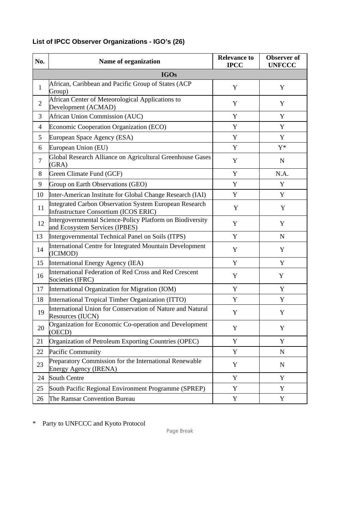| No.            | Name of organization                                                                                   | <b>Relevance to</b><br><b>IPCC</b> | <b>Observer</b> of<br><b>UNFCCC</b> |  |  |  |  |
|----------------|--------------------------------------------------------------------------------------------------------|------------------------------------|-------------------------------------|--|--|--|--|
|                | <b>IGOs</b>                                                                                            |                                    |                                     |  |  |  |  |
| $\mathbf{1}$   | African, Caribbean and Pacific Group of States (ACP<br>Group)                                          | $\mathbf Y$                        | Y                                   |  |  |  |  |
| $\overline{2}$ | African Center of Meteorological Applications to<br>Development (ACMAD)                                | Y                                  | Y                                   |  |  |  |  |
| 3              | <b>African Union Commission (AUC)</b>                                                                  | Y                                  | Y                                   |  |  |  |  |
| $\overline{4}$ | Economic Cooperation Organization (ECO)                                                                | $\mathbf Y$                        | Y                                   |  |  |  |  |
| 5              | European Space Agency (ESA)                                                                            | $\mathbf Y$                        | Y                                   |  |  |  |  |
| 6              | European Union (EU)                                                                                    | $\mathbf Y$                        | ${\rm Y^*}$                         |  |  |  |  |
| $\overline{7}$ | Global Research Alliance on Agricultural Greenhouse Gases<br>(GRA)                                     | Y                                  | ${\bf N}$                           |  |  |  |  |
| 8              | Green Climate Fund (GCF)                                                                               | $\mathbf Y$                        | N.A.                                |  |  |  |  |
| 9              | Group on Earth Observations (GEO)                                                                      | $\mathbf Y$                        | Y                                   |  |  |  |  |
| 10             | Inter-American Institute for Global Change Research (IAI)                                              | Y                                  | Y                                   |  |  |  |  |
| 11             | <b>Integrated Carbon Observation System European Research</b><br>Infrastructure Consortium (ICOS ERIC) | Y                                  |                                     |  |  |  |  |
| 12             | Intergovernmental Science-Policy Platform on Biodiversity<br>and Ecosystem Services (IPBES)            | $\mathbf Y$                        | Y                                   |  |  |  |  |
| 13             | Intergovernmental Technical Panel on Soils (ITPS)                                                      | $\mathbf Y$                        | $\mathbf N$                         |  |  |  |  |
| 14             | International Centre for Integrated Mountain Development<br>(ICIMOD)                                   | $\mathbf Y$                        | Y                                   |  |  |  |  |
| 15             | International Energy Agency (IEA)                                                                      | Y                                  | Y                                   |  |  |  |  |
| 16             | International Federation of Red Cross and Red Crescent<br>Societies (IFRC)                             | Y                                  | Y                                   |  |  |  |  |
| 17             | International Organization for Migration (IOM)                                                         | $\mathbf Y$                        | Y                                   |  |  |  |  |
| 18             | International Tropical Timber Organization (ITTO)                                                      | Y                                  | Y                                   |  |  |  |  |
| 19             | International Union for Conservation of Nature and Natural<br>Resources (IUCN)                         | Y                                  | Y                                   |  |  |  |  |
| 20             | Organization for Economic Co-operation and Development<br>(OECD)                                       | Y                                  | Y                                   |  |  |  |  |
| 21             | Organization of Petroleum Exporting Countries (OPEC)                                                   | Y                                  | Y                                   |  |  |  |  |
| 22             | Pacific Community                                                                                      | Y                                  | $\mathbf N$                         |  |  |  |  |
| 23             | Preparatory Commission for the International Renewable<br>Energy Agency (IRENA)                        | Y                                  | $\mathbf N$                         |  |  |  |  |
| 24             | South Centre                                                                                           | Y                                  | Y                                   |  |  |  |  |
| 25             | South Pacific Regional Environment Programme (SPREP)                                                   | Y                                  | Y                                   |  |  |  |  |
| 26             | The Ramsar Convention Bureau                                                                           | $\mathbf Y$                        | $\mathbf Y$                         |  |  |  |  |

# **List of IPCC Observer Organizations - IGO's (26)**

\* Party to UNFCCC and Kyoto Protocol

Page Break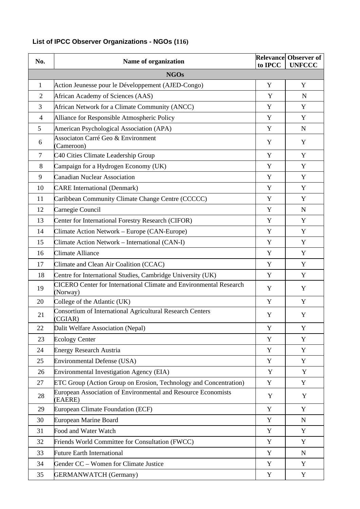# **List of IPCC Observer Organizations - NGOs (116)**

| No.            | Name of organization                                                                  | to IPCC     | <b>Relevance Observer of</b><br><b>UNFCCC</b> |  |  |  |
|----------------|---------------------------------------------------------------------------------------|-------------|-----------------------------------------------|--|--|--|
|                | <b>NGOs</b>                                                                           |             |                                               |  |  |  |
| $\mathbf{1}$   | Action Jeunesse pour le Développement (AJED-Congo)                                    | Y           | Y                                             |  |  |  |
| $\overline{2}$ | African Academy of Sciences (AAS)                                                     | Y           | $\mathbf N$                                   |  |  |  |
| 3              | African Network for a Climate Community (ANCC)                                        | $\mathbf Y$ | Y                                             |  |  |  |
| $\overline{4}$ | Alliance for Responsible Atmospheric Policy                                           | Y           | Y                                             |  |  |  |
| 5              | American Psychological Association (APA)                                              | Y           | ${\bf N}$                                     |  |  |  |
| 6              | Associaton Carré Geo & Environment<br>(Cameroon)                                      | Y           | Y                                             |  |  |  |
| $\tau$         | C40 Cities Climate Leadership Group                                                   | Y           | Y                                             |  |  |  |
| 8              | Campaign for a Hydrogen Economy (UK)                                                  | Y           | Y                                             |  |  |  |
| 9              | <b>Canadian Nuclear Association</b>                                                   | Y           | Y                                             |  |  |  |
| 10             | <b>CARE</b> International (Denmark)                                                   | Y           | Y                                             |  |  |  |
| 11             | Caribbean Community Climate Change Centre (CCCCC)                                     | Y           | Y                                             |  |  |  |
| 12             | Carnegie Council                                                                      | Y           | ${\bf N}$                                     |  |  |  |
| 13             | Center for International Forestry Research (CIFOR)                                    | Y           | Y                                             |  |  |  |
| 14             | Climate Action Network – Europe (CAN-Europe)                                          | Y           | Y                                             |  |  |  |
| 15             | Climate Action Network - International (CAN-I)                                        | Y           | Y                                             |  |  |  |
| 16             | Climate Alliance                                                                      | Y           | Y                                             |  |  |  |
| 17             | Climate and Clean Air Coalition (CCAC)                                                | Y           | Y                                             |  |  |  |
| 18             | Centre for International Studies, Cambridge University (UK)                           | Y           | Y                                             |  |  |  |
| 19             | <b>CICERO Center for International Climate and Environmental Research</b><br>(Norway) | Y           | Y                                             |  |  |  |
| 20             | College of the Atlantic (UK)                                                          | Y           | Y                                             |  |  |  |
| 21             | Consortium of International Agricultural Research Centers<br>(CGIAR)                  | Y           | Y                                             |  |  |  |
| 22             | Dalit Welfare Association (Nepal)                                                     | Y           | Y                                             |  |  |  |
| 23             | <b>Ecology Center</b>                                                                 | Y           | Y                                             |  |  |  |
| 24             | <b>Energy Research Austria</b>                                                        | Y           | Y                                             |  |  |  |
| 25             | Environmental Defense (USA)                                                           | Y           | Y                                             |  |  |  |
| 26             | <b>Environmental Investigation Agency (EIA)</b>                                       | Y           | Y                                             |  |  |  |
| 27             | ETC Group (Action Group on Erosion, Technology and Concentration)                     | Y           | Y                                             |  |  |  |
| 28             | European Association of Environmental and Resource Economists<br>(EAERE)              | Y           | Y                                             |  |  |  |
| 29             | <b>European Climate Foundation (ECF)</b>                                              | Y           | Y                                             |  |  |  |
| 30             | <b>European Marine Board</b>                                                          | Y           | N                                             |  |  |  |
| 31             | Food and Water Watch                                                                  | Y           | Y                                             |  |  |  |
| 32             | Friends World Committee for Consultation (FWCC)                                       | Y           | Y                                             |  |  |  |
| 33             | <b>Future Earth International</b>                                                     | Y           | $\mathbf N$                                   |  |  |  |
| 34             | Gender CC - Women for Climate Justice                                                 | Y           | Y                                             |  |  |  |
| 35             | <b>GERMANWATCH</b> (Germany)                                                          | Y           | Y                                             |  |  |  |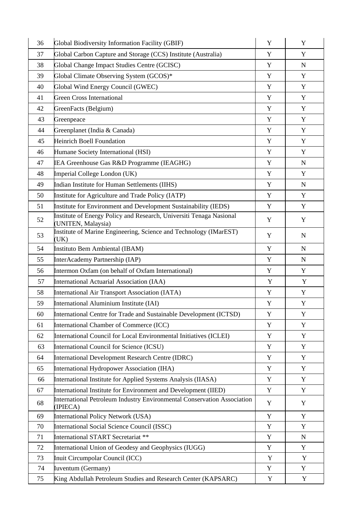| 36 | Global Biodiversity Information Facility (GBIF)                                            | Y           | Y           |
|----|--------------------------------------------------------------------------------------------|-------------|-------------|
| 37 | Global Carbon Capture and Storage (CCS) Institute (Australia)                              | Y           | Y           |
| 38 | Global Change Impact Studies Centre (GCISC)                                                | Y           | $\mathbf N$ |
| 39 | Global Climate Observing System (GCOS)*                                                    | Y           | Y           |
| 40 | Global Wind Energy Council (GWEC)                                                          | Y           | Y           |
| 41 | <b>Green Cross International</b>                                                           | Y           | Y           |
| 42 | GreenFacts (Belgium)                                                                       | Y           | Y           |
| 43 | Greenpeace                                                                                 | Y           | Y           |
| 44 | Greenplanet (India & Canada)                                                               | Y           | Y           |
| 45 | <b>Heinrich Boell Foundation</b>                                                           | Y           | Y           |
| 46 | Humane Society International (HSI)                                                         | Y           | Y           |
| 47 | IEA Greenhouse Gas R&D Programme (IEAGHG)                                                  | Y           | $\mathbf N$ |
| 48 | Imperial College London (UK)                                                               | Y           | Y           |
| 49 | Indian Institute for Human Settlements (IIHS)                                              | Y           | $\mathbf N$ |
| 50 | Institute for Agriculture and Trade Policy (IATP)                                          | Y           | Y           |
| 51 | Institute for Environment and Development Sustainability (IEDS)                            | Y           | Y           |
| 52 | Institute of Energy Policy and Research, Universiti Tenaga Nasional<br>(UNITEN, Malaysia)  | Y           | Y           |
| 53 | Institute of Marine Engineering, Science and Technology (IMarEST)<br>(UK)                  | Y           | N           |
| 54 | Instituto Bem Ambiental (IBAM)                                                             | Y           | $\mathbf N$ |
| 55 | InterAcademy Partnership (IAP)                                                             | Y           | $\mathbf N$ |
| 56 | Intermon Oxfam (on behalf of Oxfam International)                                          | Y           | Y           |
| 57 | International Actuarial Association (IAA)                                                  | Y           | Y           |
| 58 | International Air Transport Association (IATA)                                             | Y           | Y           |
| 59 | International Aluminium Institute (IAI)                                                    | Y           | Y           |
| 60 | International Centre for Trade and Sustainable Development (ICTSD)                         | Y           | Y           |
| 61 | International Chamber of Commerce (ICC)                                                    | Y           | Y           |
| 62 | International Council for Local Environmental Initiatives (ICLEI)                          | Y           | Y           |
| 63 | International Council for Science (ICSU)                                                   | Y           | Y           |
| 64 | International Development Research Centre (IDRC)                                           | Y           | Y           |
| 65 | International Hydropower Association (IHA)                                                 | Y           | Y           |
| 66 | International Institute for Applied Systems Analysis (IIASA)                               | Y           | Y           |
| 67 | International Institute for Environment and Development (IIED)                             | Y           | Y           |
| 68 | <b>International Petroleum Industry Environmental Conservation Association</b><br>(IPIECA) | Y           | Y           |
| 69 | International Policy Network (USA)                                                         | Y           | Y           |
| 70 | International Social Science Council (ISSC)                                                | Y           | Y           |
| 71 | International START Secretariat **                                                         | Y           | ${\bf N}$   |
| 72 | International Union of Geodesy and Geophysics (IUGG)                                       | Y           | Y           |
| 73 | Inuit Circumpolar Council (ICC)                                                            | Y           | Y           |
| 74 | Iuventum (Germany)                                                                         | Y           | Y           |
| 75 | King Abdullah Petroleum Studies and Research Center (KAPSARC)                              | $\mathbf Y$ | $\mathbf Y$ |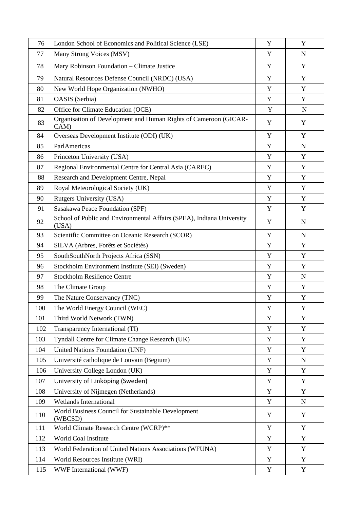| 76  | London School of Economics and Political Science (LSE)                         |             | Y           |
|-----|--------------------------------------------------------------------------------|-------------|-------------|
| 77  | Many Strong Voices (MSV)                                                       | Y           | N           |
| 78  | Mary Robinson Foundation - Climate Justice                                     | Y           | Y           |
| 79  | Natural Resources Defense Council (NRDC) (USA)                                 | Y           | Y           |
| 80  | New World Hope Organization (NWHO)                                             | Y           | Y           |
| 81  | OASIS (Serbia)                                                                 | Y           | Y           |
| 82  | Office for Climate Education (OCE)                                             | Y           | ${\bf N}$   |
| 83  | Organisation of Development and Human Rights of Cameroon (GICAR-<br>CAM)       | Y           | Y           |
| 84  | Overseas Development Institute (ODI) (UK)                                      | Y           | Y           |
| 85  | ParlAmericas                                                                   | Y           | $\mathbf N$ |
| 86  | Princeton University (USA)                                                     | $\mathbf Y$ | $\mathbf Y$ |
| 87  | Regional Environmental Centre for Central Asia (CAREC)                         | Y           | Y           |
| 88  | Research and Development Centre, Nepal                                         | Y           | Y           |
| 89  | Royal Meteorological Society (UK)                                              | Y           | Y           |
| 90  | Rutgers University (USA)                                                       | Y           | Y           |
| 91  | Sasakawa Peace Foundation (SPF)                                                | Y           | Y           |
| 92  | School of Public and Environmental Affairs (SPEA), Indiana University<br>(USA) | Y           | $\mathbf N$ |
| 93  | Scientific Committee on Oceanic Research (SCOR)                                |             | N           |
| 94  | SILVA (Arbres, Forêts et Sociétés)                                             |             | Y           |
| 95  | SouthSouthNorth Projects Africa (SSN)                                          |             | Y           |
| 96  | Stockholm Environment Institute (SEI) (Sweden)                                 |             | Y           |
| 97  | <b>Stockholm Resilience Centre</b>                                             | Y           | $\mathbf N$ |
| 98  | The Climate Group                                                              | Y           | Y           |
| 99  | The Nature Conservancy (TNC)                                                   | Y           | Y           |
| 100 | The World Energy Council (WEC)                                                 | Y           | Y           |
| 101 | Third World Network (TWN)                                                      | Y           | Y           |
| 102 | Transparency International (TI)                                                | Y           | Y           |
| 103 | Tyndall Centre for Climate Change Research (UK)                                | Y           | Y           |
| 104 | United Nations Foundation (UNF)                                                | Y           | Y           |
| 105 | Université catholique de Louvain (Begium)                                      | Y           | $\mathbf N$ |
| 106 | University College London (UK)                                                 | Y           | Y           |
| 107 | University of Linköping (Sweden)                                               | Y           | Y           |
| 108 | University of Nijmegen (Netherlands)                                           |             | Y           |
| 109 | <b>Wetlands International</b>                                                  | Y           | $\mathbf N$ |
| 110 | World Business Council for Sustainable Development<br>(WBCSD)                  | Y           | Y           |
| 111 | World Climate Research Centre (WCRP)**                                         | Y           | Y           |
| 112 | World Coal Institute                                                           | Y           | Y           |
| 113 | World Federation of United Nations Associations (WFUNA)                        | Y           | Y           |
| 114 | World Resources Institute (WRI)                                                | Y           | Y           |
| 115 | WWF International (WWF)                                                        | Y           | Y           |